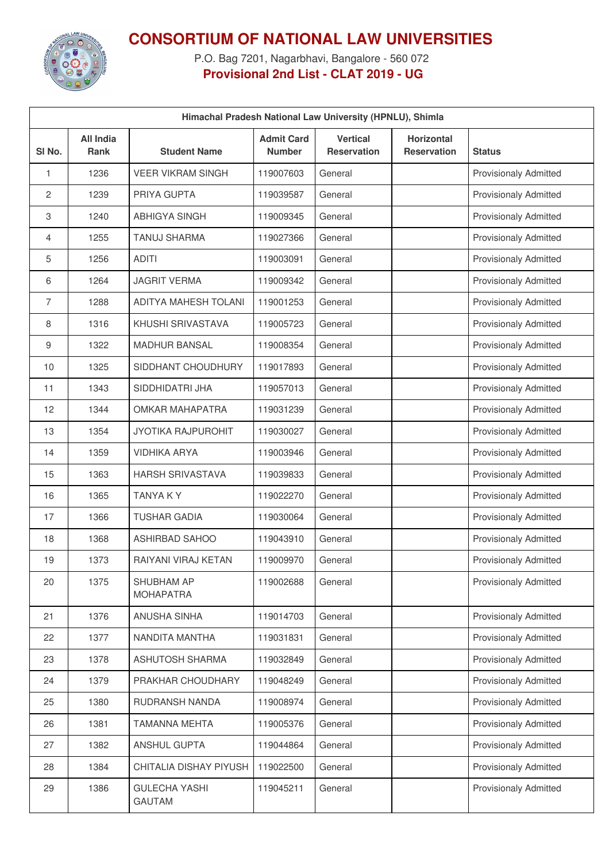

## **CONSORTIUM OF NATIONAL LAW UNIVERSITIES**

P.O. Bag 7201, Nagarbhavi, Bangalore - 560 072 **Provisional 2nd List - CLAT 2019 - UG**

| Himachal Pradesh National Law University (HPNLU), Shimla |                          |                                       |                                    |                                       |                                  |                              |  |  |
|----------------------------------------------------------|--------------------------|---------------------------------------|------------------------------------|---------------------------------------|----------------------------------|------------------------------|--|--|
| SI No.                                                   | All India<br><b>Rank</b> | <b>Student Name</b>                   | <b>Admit Card</b><br><b>Number</b> | <b>Vertical</b><br><b>Reservation</b> | Horizontal<br><b>Reservation</b> | <b>Status</b>                |  |  |
| 1                                                        | 1236                     | <b>VEER VIKRAM SINGH</b>              | 119007603                          | General                               |                                  | <b>Provisionaly Admitted</b> |  |  |
| 2                                                        | 1239                     | PRIYA GUPTA                           | 119039587                          | General                               |                                  | <b>Provisionaly Admitted</b> |  |  |
| 3                                                        | 1240                     | <b>ABHIGYA SINGH</b>                  | 119009345                          | General                               |                                  | <b>Provisionaly Admitted</b> |  |  |
| $\overline{4}$                                           | 1255                     | <b>TANUJ SHARMA</b>                   | 119027366                          | General                               |                                  | <b>Provisionaly Admitted</b> |  |  |
| 5                                                        | 1256                     | <b>ADITI</b>                          | 119003091                          | General                               |                                  | <b>Provisionaly Admitted</b> |  |  |
| 6                                                        | 1264                     | <b>JAGRIT VERMA</b>                   | 119009342                          | General                               |                                  | <b>Provisionaly Admitted</b> |  |  |
| 7                                                        | 1288                     | <b>ADITYA MAHESH TOLANI</b>           | 119001253                          | General                               |                                  | <b>Provisionaly Admitted</b> |  |  |
| 8                                                        | 1316                     | KHUSHI SRIVASTAVA                     | 119005723                          | General                               |                                  | <b>Provisionaly Admitted</b> |  |  |
| 9                                                        | 1322                     | <b>MADHUR BANSAL</b>                  | 119008354                          | General                               |                                  | <b>Provisionaly Admitted</b> |  |  |
| 10                                                       | 1325                     | SIDDHANT CHOUDHURY                    | 119017893                          | General                               |                                  | <b>Provisionaly Admitted</b> |  |  |
| 11                                                       | 1343                     | SIDDHIDATRI JHA                       | 119057013                          | General                               |                                  | <b>Provisionaly Admitted</b> |  |  |
| 12                                                       | 1344                     | OMKAR MAHAPATRA                       | 119031239                          | General                               |                                  | <b>Provisionaly Admitted</b> |  |  |
| 13                                                       | 1354                     | <b>JYOTIKA RAJPUROHIT</b>             | 119030027                          | General                               |                                  | <b>Provisionaly Admitted</b> |  |  |
| 14                                                       | 1359                     | <b>VIDHIKA ARYA</b>                   | 119003946                          | General                               |                                  | <b>Provisionaly Admitted</b> |  |  |
| 15                                                       | 1363                     | <b>HARSH SRIVASTAVA</b>               | 119039833                          | General                               |                                  | <b>Provisionaly Admitted</b> |  |  |
| 16                                                       | 1365                     | <b>TANYA K Y</b>                      | 119022270                          | General                               |                                  | <b>Provisionaly Admitted</b> |  |  |
| 17                                                       | 1366                     | <b>TUSHAR GADIA</b>                   | 119030064                          | General                               |                                  | <b>Provisionaly Admitted</b> |  |  |
| 18                                                       | 1368                     | ASHIRBAD SAHOO                        | 119043910                          | General                               |                                  | <b>Provisionaly Admitted</b> |  |  |
| 19                                                       | 1373                     | RAIYANI VIRAJ KETAN                   | 119009970                          | General                               |                                  | <b>Provisionaly Admitted</b> |  |  |
| 20                                                       | 1375                     | SHUBHAM AP<br><b>MOHAPATRA</b>        | 119002688                          | General                               |                                  | <b>Provisionaly Admitted</b> |  |  |
| 21                                                       | 1376                     | <b>ANUSHA SINHA</b>                   | 119014703                          | General                               |                                  | Provisionaly Admitted        |  |  |
| 22                                                       | 1377                     | NANDITA MANTHA                        | 119031831                          | General                               |                                  | Provisionaly Admitted        |  |  |
| 23                                                       | 1378                     | <b>ASHUTOSH SHARMA</b>                | 119032849                          | General                               |                                  | <b>Provisionaly Admitted</b> |  |  |
| 24                                                       | 1379                     | PRAKHAR CHOUDHARY                     | 119048249                          | General                               |                                  | Provisionaly Admitted        |  |  |
| 25                                                       | 1380                     | RUDRANSH NANDA                        | 119008974                          | General                               |                                  | <b>Provisionaly Admitted</b> |  |  |
| 26                                                       | 1381                     | <b>TAMANNA MEHTA</b>                  | 119005376                          | General                               |                                  | <b>Provisionaly Admitted</b> |  |  |
| 27                                                       | 1382                     | ANSHUL GUPTA                          | 119044864                          | General                               |                                  | <b>Provisionaly Admitted</b> |  |  |
| 28                                                       | 1384                     | CHITALIA DISHAY PIYUSH                | 119022500                          | General                               |                                  | <b>Provisionaly Admitted</b> |  |  |
| 29                                                       | 1386                     | <b>GULECHA YASHI</b><br><b>GAUTAM</b> | 119045211                          | General                               |                                  | Provisionaly Admitted        |  |  |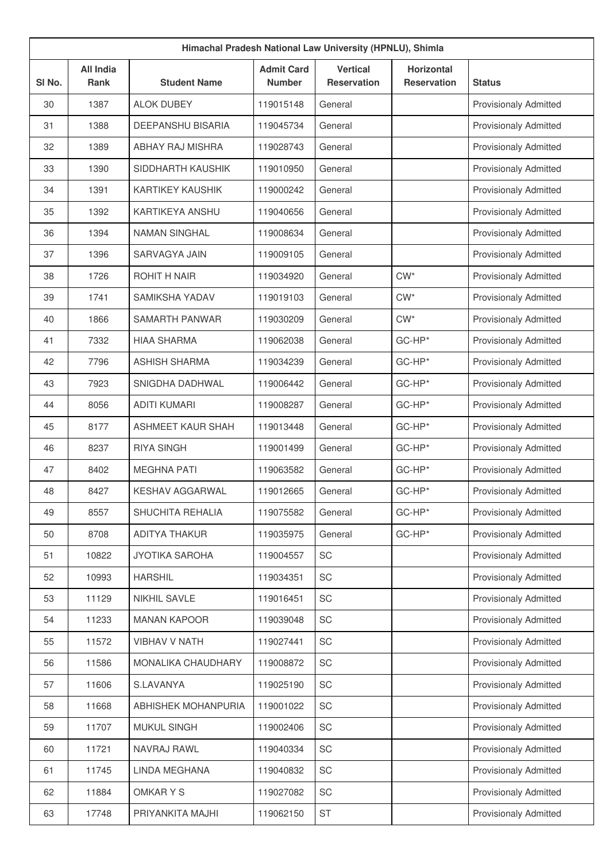| Himachal Pradesh National Law University (HPNLU), Shimla |                                 |                          |                                    |                                       |                                         |                              |  |
|----------------------------------------------------------|---------------------------------|--------------------------|------------------------------------|---------------------------------------|-----------------------------------------|------------------------------|--|
| SI No.                                                   | <b>All India</b><br><b>Rank</b> | <b>Student Name</b>      | <b>Admit Card</b><br><b>Number</b> | <b>Vertical</b><br><b>Reservation</b> | <b>Horizontal</b><br><b>Reservation</b> | <b>Status</b>                |  |
| 30                                                       | 1387                            | <b>ALOK DUBEY</b>        | 119015148                          | General                               |                                         | <b>Provisionaly Admitted</b> |  |
| 31                                                       | 1388                            | <b>DEEPANSHU BISARIA</b> | 119045734                          | General                               |                                         | <b>Provisionaly Admitted</b> |  |
| 32                                                       | 1389                            | ABHAY RAJ MISHRA         | 119028743                          | General                               |                                         | <b>Provisionaly Admitted</b> |  |
| 33                                                       | 1390                            | SIDDHARTH KAUSHIK        | 119010950                          | General                               |                                         | <b>Provisionaly Admitted</b> |  |
| 34                                                       | 1391                            | <b>KARTIKEY KAUSHIK</b>  | 119000242                          | General                               |                                         | <b>Provisionaly Admitted</b> |  |
| 35                                                       | 1392                            | KARTIKEYA ANSHU          | 119040656                          | General                               |                                         | <b>Provisionaly Admitted</b> |  |
| 36                                                       | 1394                            | <b>NAMAN SINGHAL</b>     | 119008634                          | General                               |                                         | <b>Provisionaly Admitted</b> |  |
| 37                                                       | 1396                            | SARVAGYA JAIN            | 119009105                          | General                               |                                         | <b>Provisionaly Admitted</b> |  |
| 38                                                       | 1726                            | ROHIT H NAIR             | 119034920                          | General                               | $CW^*$                                  | <b>Provisionaly Admitted</b> |  |
| 39                                                       | 1741                            | SAMIKSHA YADAV           | 119019103                          | General                               | $CW^*$                                  | <b>Provisionaly Admitted</b> |  |
| 40                                                       | 1866                            | <b>SAMARTH PANWAR</b>    | 119030209                          | General                               | $CW^*$                                  | <b>Provisionaly Admitted</b> |  |
| 41                                                       | 7332                            | <b>HIAA SHARMA</b>       | 119062038                          | General                               | GC-HP*                                  | <b>Provisionaly Admitted</b> |  |
| 42                                                       | 7796                            | <b>ASHISH SHARMA</b>     | 119034239                          | General                               | GC-HP*                                  | <b>Provisionaly Admitted</b> |  |
| 43                                                       | 7923                            | SNIGDHA DADHWAL          | 119006442                          | General                               | GC-HP*                                  | <b>Provisionaly Admitted</b> |  |
| 44                                                       | 8056                            | <b>ADITI KUMARI</b>      | 119008287                          | General                               | GC-HP*                                  | <b>Provisionaly Admitted</b> |  |
| 45                                                       | 8177                            | <b>ASHMEET KAUR SHAH</b> | 119013448                          | General                               | GC-HP*                                  | <b>Provisionaly Admitted</b> |  |
| 46                                                       | 8237                            | <b>RIYA SINGH</b>        | 119001499                          | General                               | GC-HP*                                  | <b>Provisionaly Admitted</b> |  |
| 47                                                       | 8402                            | <b>MEGHNA PATI</b>       | 119063582                          | General                               | GC-HP*                                  | <b>Provisionaly Admitted</b> |  |
| 48                                                       | 8427                            | <b>KESHAV AGGARWAL</b>   | 119012665                          | General                               | GC-HP*                                  | <b>Provisionaly Admitted</b> |  |
| 49                                                       | 8557                            | SHUCHITA REHALIA         | 119075582                          | General                               | GC-HP*                                  | <b>Provisionaly Admitted</b> |  |
| 50                                                       | 8708                            | <b>ADITYA THAKUR</b>     | 119035975                          | General                               | $GC-HP*$                                | <b>Provisionaly Admitted</b> |  |
| 51                                                       | 10822                           | <b>JYOTIKA SAROHA</b>    | 119004557                          | SC                                    |                                         | <b>Provisionaly Admitted</b> |  |
| 52                                                       | 10993                           | <b>HARSHIL</b>           | 119034351                          | SC                                    |                                         | Provisionaly Admitted        |  |
| 53                                                       | 11129                           | NIKHIL SAVLE             | 119016451                          | SC                                    |                                         | <b>Provisionaly Admitted</b> |  |
| 54                                                       | 11233                           | <b>MANAN KAPOOR</b>      | 119039048                          | SC                                    |                                         | Provisionaly Admitted        |  |
| 55                                                       | 11572                           | VIBHAV V NATH            | 119027441                          | SC                                    |                                         | <b>Provisionaly Admitted</b> |  |
| 56                                                       | 11586                           | MONALIKA CHAUDHARY       | 119008872                          | SC                                    |                                         | <b>Provisionaly Admitted</b> |  |
| 57                                                       | 11606                           | S.LAVANYA                | 119025190                          | SC                                    |                                         | <b>Provisionaly Admitted</b> |  |
| 58                                                       | 11668                           | ABHISHEK MOHANPURIA      | 119001022                          | SC                                    |                                         | <b>Provisionaly Admitted</b> |  |
| 59                                                       | 11707                           | <b>MUKUL SINGH</b>       | 119002406                          | SC                                    |                                         | <b>Provisionaly Admitted</b> |  |
| 60                                                       | 11721                           | NAVRAJ RAWL              | 119040334                          | SC                                    |                                         | <b>Provisionaly Admitted</b> |  |
| 61                                                       | 11745                           | LINDA MEGHANA            | 119040832                          | SC                                    |                                         | <b>Provisionaly Admitted</b> |  |
| 62                                                       | 11884                           | OMKAR Y S                | 119027082                          | SC                                    |                                         | <b>Provisionaly Admitted</b> |  |
| 63                                                       | 17748                           | PRIYANKITA MAJHI         | 119062150                          | ST                                    |                                         | Provisionaly Admitted        |  |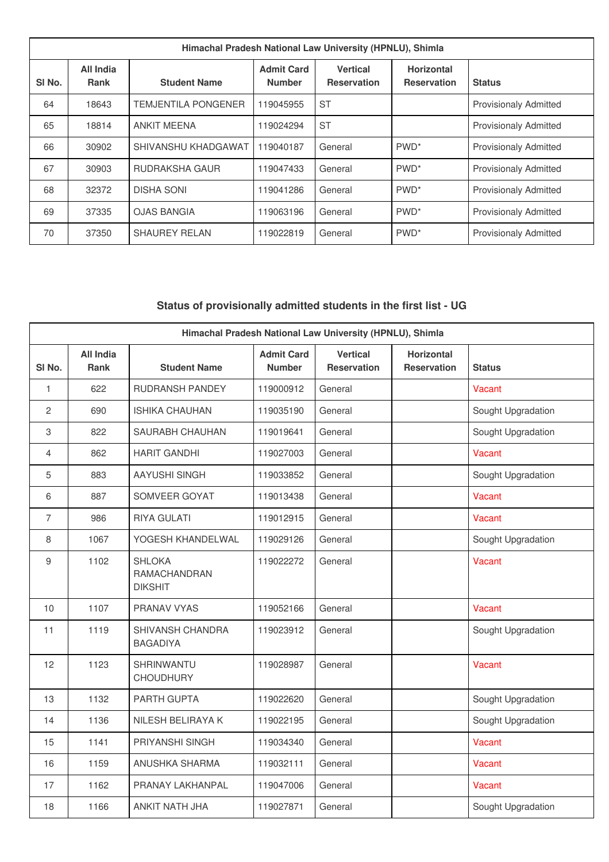| Himachal Pradesh National Law University (HPNLU), Shimla |                          |                            |                                    |                                       |                                         |                              |  |
|----------------------------------------------------------|--------------------------|----------------------------|------------------------------------|---------------------------------------|-----------------------------------------|------------------------------|--|
| SI No.                                                   | All India<br><b>Rank</b> | <b>Student Name</b>        | <b>Admit Card</b><br><b>Number</b> | <b>Vertical</b><br><b>Reservation</b> | <b>Horizontal</b><br><b>Reservation</b> | <b>Status</b>                |  |
| 64                                                       | 18643                    | <b>TEMJENTILA PONGENER</b> | 119045955                          | <b>ST</b>                             |                                         | <b>Provisionaly Admitted</b> |  |
| 65                                                       | 18814                    | <b>ANKIT MEENA</b>         | 119024294                          | <b>ST</b>                             |                                         | <b>Provisionaly Admitted</b> |  |
| 66                                                       | 30902                    | SHIVANSHU KHADGAWAT        | 119040187                          | General                               | PWD <sup>*</sup>                        | <b>Provisionaly Admitted</b> |  |
| 67                                                       | 30903                    | RUDRAKSHA GAUR             | 119047433                          | General                               | PWD <sup>*</sup>                        | <b>Provisionaly Admitted</b> |  |
| 68                                                       | 32372                    | <b>DISHA SONI</b>          | 119041286                          | General                               | PWD <sup>*</sup>                        | <b>Provisionaly Admitted</b> |  |
| 69                                                       | 37335                    | <b>OJAS BANGIA</b>         | 119063196                          | General                               | PWD <sup>*</sup>                        | <b>Provisionaly Admitted</b> |  |
| 70                                                       | 37350                    | <b>SHAUREY RELAN</b>       | 119022819                          | General                               | PWD <sup>*</sup>                        | <b>Provisionaly Admitted</b> |  |

## **Status of provisionally admitted students in the first list - UG**

| Himachal Pradesh National Law University (HPNLU), Shimla |                                 |                                                 |                                    |                                       |                                         |                    |  |
|----------------------------------------------------------|---------------------------------|-------------------------------------------------|------------------------------------|---------------------------------------|-----------------------------------------|--------------------|--|
| SI <sub>No.</sub>                                        | <b>All India</b><br><b>Rank</b> | <b>Student Name</b>                             | <b>Admit Card</b><br><b>Number</b> | <b>Vertical</b><br><b>Reservation</b> | <b>Horizontal</b><br><b>Reservation</b> | <b>Status</b>      |  |
| 1                                                        | 622                             | <b>RUDRANSH PANDEY</b>                          | 119000912                          | General                               |                                         | Vacant             |  |
| $\overline{c}$                                           | 690                             | <b>ISHIKA CHAUHAN</b>                           | 119035190                          | General                               |                                         | Sought Upgradation |  |
| 3                                                        | 822                             | SAURABH CHAUHAN                                 | 119019641                          | General                               |                                         | Sought Upgradation |  |
| 4                                                        | 862                             | <b>HARIT GANDHI</b>                             | 119027003                          | General                               |                                         | Vacant             |  |
| 5                                                        | 883                             | AAYUSHI SINGH                                   | 119033852                          | General                               |                                         | Sought Upgradation |  |
| 6                                                        | 887                             | SOMVEER GOYAT                                   | 119013438                          | General                               |                                         | Vacant             |  |
| $\overline{7}$                                           | 986                             | <b>RIYA GULATI</b>                              | 119012915                          | General                               |                                         | Vacant             |  |
| 8                                                        | 1067                            | YOGESH KHANDELWAL                               | 119029126                          | General                               |                                         | Sought Upgradation |  |
| 9                                                        | 1102                            | <b>SHLOKA</b><br>RAMACHANDRAN<br><b>DIKSHIT</b> | 119022272                          | General                               |                                         | Vacant             |  |
| 10                                                       | 1107                            | <b>PRANAV VYAS</b>                              | 119052166                          | General                               |                                         | Vacant             |  |
| 11                                                       | 1119                            | SHIVANSH CHANDRA<br><b>BAGADIYA</b>             | 119023912                          | General                               |                                         | Sought Upgradation |  |
| 12                                                       | 1123                            | SHRINWANTU<br><b>CHOUDHURY</b>                  | 119028987                          | General                               |                                         | Vacant             |  |
| 13                                                       | 1132                            | PARTH GUPTA                                     | 119022620                          | General                               |                                         | Sought Upgradation |  |
| 14                                                       | 1136                            | NILESH BELIRAYA K                               | 119022195                          | General                               |                                         | Sought Upgradation |  |
| 15                                                       | 1141                            | PRIYANSHI SINGH                                 | 119034340                          | General                               |                                         | Vacant             |  |
| 16                                                       | 1159                            | ANUSHKA SHARMA                                  | 119032111                          | General                               |                                         | Vacant             |  |
| 17                                                       | 1162                            | PRANAY LAKHANPAL                                | 119047006                          | General                               |                                         | Vacant             |  |
| 18                                                       | 1166                            | ANKIT NATH JHA                                  | 119027871                          | General                               |                                         | Sought Upgradation |  |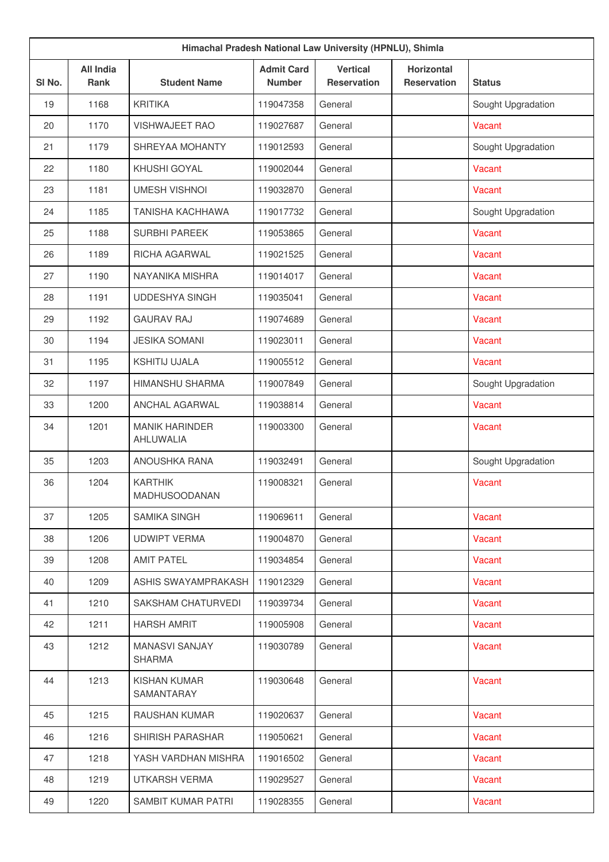| Himachal Pradesh National Law University (HPNLU), Shimla |                                 |                                        |                                    |                                       |                                         |                    |  |
|----------------------------------------------------------|---------------------------------|----------------------------------------|------------------------------------|---------------------------------------|-----------------------------------------|--------------------|--|
| SI No.                                                   | <b>All India</b><br><b>Rank</b> | <b>Student Name</b>                    | <b>Admit Card</b><br><b>Number</b> | <b>Vertical</b><br><b>Reservation</b> | <b>Horizontal</b><br><b>Reservation</b> | <b>Status</b>      |  |
| 19                                                       | 1168                            | <b>KRITIKA</b>                         | 119047358                          | General                               |                                         | Sought Upgradation |  |
| 20                                                       | 1170                            | <b>VISHWAJEET RAO</b>                  | 119027687                          | General                               |                                         | Vacant             |  |
| 21                                                       | 1179                            | SHREYAA MOHANTY                        | 119012593                          | General                               |                                         | Sought Upgradation |  |
| 22                                                       | 1180                            | KHUSHI GOYAL                           | 119002044                          | General                               |                                         | Vacant             |  |
| 23                                                       | 1181                            | <b>UMESH VISHNOI</b>                   | 119032870                          | General                               |                                         | Vacant             |  |
| 24                                                       | 1185                            | <b>TANISHA KACHHAWA</b>                | 119017732                          | General                               |                                         | Sought Upgradation |  |
| 25                                                       | 1188                            | <b>SURBHI PAREEK</b>                   | 119053865                          | General                               |                                         | Vacant             |  |
| 26                                                       | 1189                            | <b>RICHA AGARWAL</b>                   | 119021525                          | General                               |                                         | Vacant             |  |
| 27                                                       | 1190                            | NAYANIKA MISHRA                        | 119014017                          | General                               |                                         | Vacant             |  |
| 28                                                       | 1191                            | <b>UDDESHYA SINGH</b>                  | 119035041                          | General                               |                                         | Vacant             |  |
| 29                                                       | 1192                            | <b>GAURAV RAJ</b>                      | 119074689                          | General                               |                                         | <b>Vacant</b>      |  |
| 30                                                       | 1194                            | <b>JESIKA SOMANI</b>                   | 119023011                          | General                               |                                         | Vacant             |  |
| 31                                                       | 1195                            | KSHITIJ UJALA                          | 119005512                          | General                               |                                         | Vacant             |  |
| 32                                                       | 1197                            | <b>HIMANSHU SHARMA</b>                 | 119007849                          | General                               |                                         | Sought Upgradation |  |
| 33                                                       | 1200                            | ANCHAL AGARWAL                         | 119038814                          | General                               |                                         | Vacant             |  |
| 34                                                       | 1201                            | <b>MANIK HARINDER</b><br>AHLUWALIA     | 119003300                          | General                               |                                         | Vacant             |  |
| 35                                                       | 1203                            | ANOUSHKA RANA                          | 119032491                          | General                               |                                         | Sought Upgradation |  |
| 36                                                       | 1204                            | <b>KARTHIK</b><br>MADHUSOODANAN        | 119008321                          | General                               |                                         | Vacant             |  |
| 37                                                       | 1205                            | <b>SAMIKA SINGH</b>                    | 119069611                          | General                               |                                         | Vacant             |  |
| 38                                                       | 1206                            | <b>UDWIPT VERMA</b>                    | 119004870                          | General                               |                                         | Vacant             |  |
| 39                                                       | 1208                            | <b>AMIT PATEL</b>                      | 119034854                          | General                               |                                         | Vacant             |  |
| 40                                                       | 1209                            | ASHIS SWAYAMPRAKASH                    | 119012329                          | General                               |                                         | Vacant             |  |
| 41                                                       | 1210                            | SAKSHAM CHATURVEDI                     | 119039734                          | General                               |                                         | Vacant             |  |
| 42                                                       | 1211                            | <b>HARSH AMRIT</b>                     | 119005908                          | General                               |                                         | Vacant             |  |
| 43                                                       | 1212                            | <b>MANASVI SANJAY</b><br><b>SHARMA</b> | 119030789                          | General                               |                                         | Vacant             |  |
| 44                                                       | 1213                            | <b>KISHAN KUMAR</b><br>SAMANTARAY      | 119030648                          | General                               |                                         | Vacant             |  |
| 45                                                       | 1215                            | RAUSHAN KUMAR                          | 119020637                          | General                               |                                         | Vacant             |  |
| 46                                                       | 1216                            | SHIRISH PARASHAR                       | 119050621                          | General                               |                                         | Vacant             |  |
| 47                                                       | 1218                            | YASH VARDHAN MISHRA                    | 119016502                          | General                               |                                         | Vacant             |  |
| 48                                                       | 1219                            | UTKARSH VERMA                          | 119029527                          | General                               |                                         | Vacant             |  |
| 49                                                       | 1220                            | SAMBIT KUMAR PATRI                     | 119028355                          | General                               |                                         | Vacant             |  |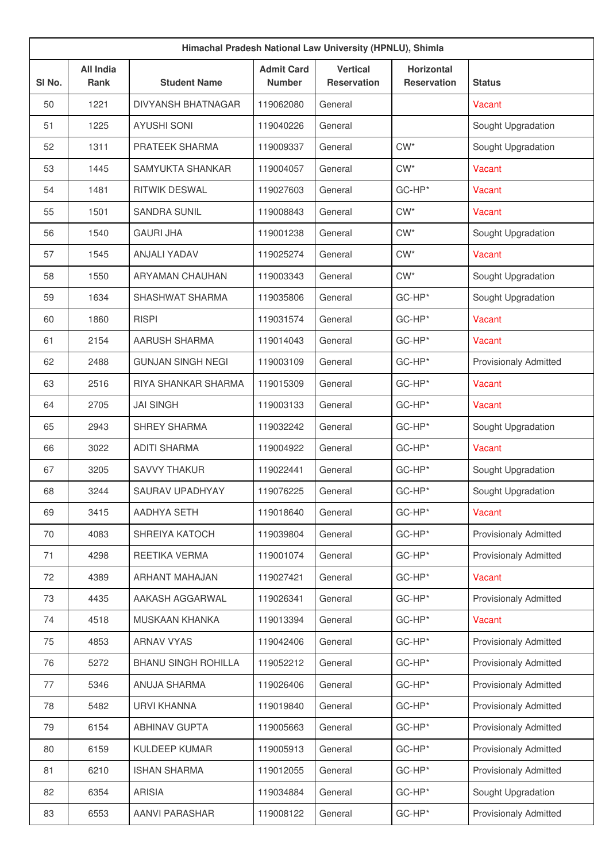| Himachal Pradesh National Law University (HPNLU), Shimla |                                 |                            |                                    |                                       |                                         |                              |  |  |
|----------------------------------------------------------|---------------------------------|----------------------------|------------------------------------|---------------------------------------|-----------------------------------------|------------------------------|--|--|
| SI <sub>No.</sub>                                        | <b>All India</b><br><b>Rank</b> | <b>Student Name</b>        | <b>Admit Card</b><br><b>Number</b> | <b>Vertical</b><br><b>Reservation</b> | <b>Horizontal</b><br><b>Reservation</b> | <b>Status</b>                |  |  |
| 50                                                       | 1221                            | DIVYANSH BHATNAGAR         | 119062080                          | General                               |                                         | Vacant                       |  |  |
| 51                                                       | 1225                            | <b>AYUSHI SONI</b>         | 119040226                          | General                               |                                         | Sought Upgradation           |  |  |
| 52                                                       | 1311                            | PRATEEK SHARMA             | 119009337                          | General                               | $CW^*$                                  | Sought Upgradation           |  |  |
| 53                                                       | 1445                            | SAMYUKTA SHANKAR           | 119004057                          | General                               | $CW^*$                                  | Vacant                       |  |  |
| 54                                                       | 1481                            | <b>RITWIK DESWAL</b>       | 119027603                          | General                               | GC-HP*                                  | Vacant                       |  |  |
| 55                                                       | 1501                            | <b>SANDRA SUNIL</b>        | 119008843                          | General                               | $CW^*$                                  | Vacant                       |  |  |
| 56                                                       | 1540                            | <b>GAURI JHA</b>           | 119001238                          | General                               | $CW^*$                                  | Sought Upgradation           |  |  |
| 57                                                       | 1545                            | <b>ANJALI YADAV</b>        | 119025274                          | General                               | $CW^*$                                  | Vacant                       |  |  |
| 58                                                       | 1550                            | ARYAMAN CHAUHAN            | 119003343                          | General                               | $CW^*$                                  | Sought Upgradation           |  |  |
| 59                                                       | 1634                            | SHASHWAT SHARMA            | 119035806                          | General                               | GC-HP*                                  | Sought Upgradation           |  |  |
| 60                                                       | 1860                            | <b>RISPI</b>               | 119031574                          | General                               | GC-HP*                                  | Vacant                       |  |  |
| 61                                                       | 2154                            | AARUSH SHARMA              | 119014043                          | General                               | GC-HP*                                  | Vacant                       |  |  |
| 62                                                       | 2488                            | <b>GUNJAN SINGH NEGI</b>   | 119003109                          | General                               | GC-HP*                                  | <b>Provisionaly Admitted</b> |  |  |
| 63                                                       | 2516                            | RIYA SHANKAR SHARMA        | 119015309                          | General                               | GC-HP*                                  | Vacant                       |  |  |
| 64                                                       | 2705                            | <b>JAI SINGH</b>           | 119003133                          | General                               | GC-HP*                                  | Vacant                       |  |  |
| 65                                                       | 2943                            | <b>SHREY SHARMA</b>        | 119032242                          | General                               | GC-HP*                                  | Sought Upgradation           |  |  |
| 66                                                       | 3022                            | <b>ADITI SHARMA</b>        | 119004922                          | General                               | GC-HP*                                  | Vacant                       |  |  |
| 67                                                       | 3205                            | <b>SAVVY THAKUR</b>        | 119022441                          | General                               | GC-HP*                                  | Sought Upgradation           |  |  |
| 68                                                       | 3244                            | <b>SAURAV UPADHYAY</b>     | 119076225                          | General                               | GC-HP*                                  | Sought Upgradation           |  |  |
| 69                                                       | 3415                            | AADHYA SETH                | 119018640                          | General                               | GC-HP*                                  | Vacant                       |  |  |
| 70                                                       | 4083                            | SHREIYA KATOCH             | 119039804                          | General                               | GC-HP*                                  | <b>Provisionaly Admitted</b> |  |  |
| 71                                                       | 4298                            | REETIKA VERMA              | 119001074                          | General                               | GC-HP*                                  | <b>Provisionaly Admitted</b> |  |  |
| 72                                                       | 4389                            | ARHANT MAHAJAN             | 119027421                          | General                               | GC-HP*                                  | Vacant                       |  |  |
| 73                                                       | 4435                            | AAKASH AGGARWAL            | 119026341                          | General                               | GC-HP*                                  | <b>Provisionaly Admitted</b> |  |  |
| 74                                                       | 4518                            | MUSKAAN KHANKA             | 119013394                          | General                               | GC-HP*                                  | Vacant                       |  |  |
| 75                                                       | 4853                            | <b>ARNAV VYAS</b>          | 119042406                          | General                               | GC-HP*                                  | <b>Provisionaly Admitted</b> |  |  |
| 76                                                       | 5272                            | <b>BHANU SINGH ROHILLA</b> | 119052212                          | General                               | GC-HP*                                  | <b>Provisionaly Admitted</b> |  |  |
| 77                                                       | 5346                            | ANUJA SHARMA               | 119026406                          | General                               | GC-HP*                                  | <b>Provisionaly Admitted</b> |  |  |
| 78                                                       | 5482                            | URVI KHANNA                | 119019840                          | General                               | GC-HP*                                  | <b>Provisionaly Admitted</b> |  |  |
| 79                                                       | 6154                            | <b>ABHINAV GUPTA</b>       | 119005663                          | General                               | GC-HP*                                  | <b>Provisionaly Admitted</b> |  |  |
| 80                                                       | 6159                            | KULDEEP KUMAR              | 119005913                          | General                               | GC-HP*                                  | <b>Provisionaly Admitted</b> |  |  |
| 81                                                       | 6210                            | <b>ISHAN SHARMA</b>        | 119012055                          | General                               | GC-HP*                                  | Provisionaly Admitted        |  |  |
| 82                                                       | 6354                            | <b>ARISIA</b>              | 119034884                          | General                               | GC-HP*                                  | Sought Upgradation           |  |  |
| 83                                                       | 6553                            | AANVI PARASHAR             | 119008122                          | General                               | GC-HP*                                  | <b>Provisionaly Admitted</b> |  |  |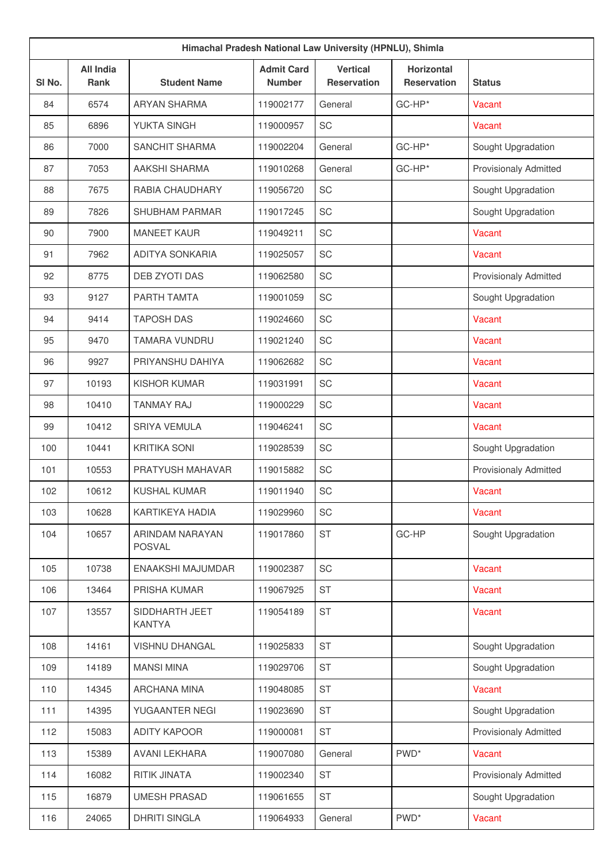| Himachal Pradesh National Law University (HPNLU), Shimla |                                 |                                  |                                    |                                       |                                         |                              |  |
|----------------------------------------------------------|---------------------------------|----------------------------------|------------------------------------|---------------------------------------|-----------------------------------------|------------------------------|--|
| SI No.                                                   | <b>All India</b><br><b>Rank</b> | <b>Student Name</b>              | <b>Admit Card</b><br><b>Number</b> | <b>Vertical</b><br><b>Reservation</b> | <b>Horizontal</b><br><b>Reservation</b> | <b>Status</b>                |  |
| 84                                                       | 6574                            | <b>ARYAN SHARMA</b>              | 119002177                          | General                               | GC-HP*                                  | Vacant                       |  |
| 85                                                       | 6896                            | YUKTA SINGH                      | 119000957                          | <b>SC</b>                             |                                         | Vacant                       |  |
| 86                                                       | 7000                            | SANCHIT SHARMA                   | 119002204                          | General                               | GC-HP*                                  | Sought Upgradation           |  |
| 87                                                       | 7053                            | AAKSHI SHARMA                    | 119010268                          | General                               | GC-HP*                                  | <b>Provisionaly Admitted</b> |  |
| 88                                                       | 7675                            | RABIA CHAUDHARY                  | 119056720                          | SC                                    |                                         | Sought Upgradation           |  |
| 89                                                       | 7826                            | <b>SHUBHAM PARMAR</b>            | 119017245                          | SC                                    |                                         | Sought Upgradation           |  |
| 90                                                       | 7900                            | <b>MANEET KAUR</b>               | 119049211                          | SC                                    |                                         | Vacant                       |  |
| 91                                                       | 7962                            | <b>ADITYA SONKARIA</b>           | 119025057                          | SC                                    |                                         | Vacant                       |  |
| 92                                                       | 8775                            | DEB ZYOTI DAS                    | 119062580                          | SC                                    |                                         | <b>Provisionaly Admitted</b> |  |
| 93                                                       | 9127                            | PARTH TAMTA                      | 119001059                          | SC                                    |                                         | Sought Upgradation           |  |
| 94                                                       | 9414                            | <b>TAPOSH DAS</b>                | 119024660                          | SC                                    |                                         | Vacant                       |  |
| 95                                                       | 9470                            | <b>TAMARA VUNDRU</b>             | 119021240                          | SC                                    |                                         | Vacant                       |  |
| 96                                                       | 9927                            | PRIYANSHU DAHIYA                 | 119062682                          | SC                                    |                                         | Vacant                       |  |
| 97                                                       | 10193                           | <b>KISHOR KUMAR</b>              | 119031991                          | SC                                    |                                         | Vacant                       |  |
| 98                                                       | 10410                           | <b>TANMAY RAJ</b>                | 119000229                          | SC                                    |                                         | Vacant                       |  |
| 99                                                       | 10412                           | <b>SRIYA VEMULA</b>              | 119046241                          | SC                                    |                                         | Vacant                       |  |
| 100                                                      | 10441                           | <b>KRITIKA SONI</b>              | 119028539                          | SC                                    |                                         | Sought Upgradation           |  |
| 101                                                      | 10553                           | PRATYUSH MAHAVAR                 | 119015882                          | SC                                    |                                         | <b>Provisionaly Admitted</b> |  |
| 102                                                      | 10612                           | <b>KUSHAL KUMAR</b>              | 119011940                          | SC                                    |                                         | Vacant                       |  |
| 103                                                      | 10628                           | KARTIKEYA HADIA                  | 119029960                          | SC                                    |                                         | Vacant                       |  |
| 104                                                      | 10657                           | ARINDAM NARAYAN<br><b>POSVAL</b> | 119017860                          | <b>ST</b>                             | GC-HP                                   | Sought Upgradation           |  |
| 105                                                      | 10738                           | ENAAKSHI MAJUMDAR                | 119002387                          | SC                                    |                                         | Vacant                       |  |
| 106                                                      | 13464                           | PRISHA KUMAR                     | 119067925                          | <b>ST</b>                             |                                         | Vacant                       |  |
| 107                                                      | 13557                           | SIDDHARTH JEET<br><b>KANTYA</b>  | 119054189                          | <b>ST</b>                             |                                         | Vacant                       |  |
| 108                                                      | 14161                           | VISHNU DHANGAL                   | 119025833                          | <b>ST</b>                             |                                         | Sought Upgradation           |  |
| 109                                                      | 14189                           | <b>MANSI MINA</b>                | 119029706                          | <b>ST</b>                             |                                         | Sought Upgradation           |  |
| 110                                                      | 14345                           | <b>ARCHANA MINA</b>              | 119048085                          | <b>ST</b>                             |                                         | Vacant                       |  |
| 111                                                      | 14395                           | YUGAANTER NEGI                   | 119023690                          | <b>ST</b>                             |                                         | Sought Upgradation           |  |
| 112                                                      | 15083                           | <b>ADITY KAPOOR</b>              | 119000081                          | <b>ST</b>                             |                                         | Provisionaly Admitted        |  |
| 113                                                      | 15389                           | <b>AVANI LEKHARA</b>             | 119007080                          | General                               | PWD <sup>*</sup>                        | Vacant                       |  |
| 114                                                      | 16082                           | RITIK JINATA                     | 119002340                          | <b>ST</b>                             |                                         | Provisionaly Admitted        |  |
| 115                                                      | 16879                           | <b>UMESH PRASAD</b>              | 119061655                          | <b>ST</b>                             |                                         | Sought Upgradation           |  |
| 116                                                      | 24065                           | <b>DHRITI SINGLA</b>             | 119064933                          | General                               | PWD <sup>*</sup>                        | Vacant                       |  |